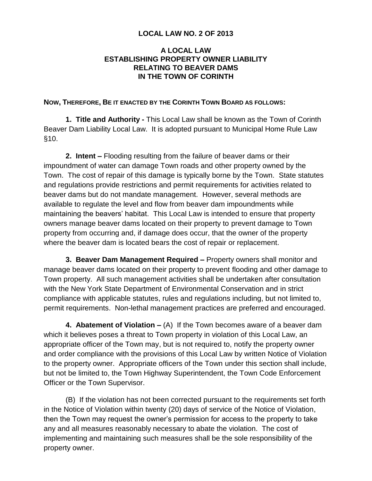## **LOCAL LAW NO. 2 OF 2013**

## **A LOCAL LAW ESTABLISHING PROPERTY OWNER LIABILITY RELATING TO BEAVER DAMS IN THE TOWN OF CORINTH**

## **NOW, THEREFORE, BE IT ENACTED BY THE CORINTH TOWN BOARD AS FOLLOWS:**

**1. Title and Authority -** This Local Law shall be known as the Town of Corinth Beaver Dam Liability Local Law. It is adopted pursuant to Municipal Home Rule Law §10.

**2. Intent –** Flooding resulting from the failure of beaver dams or their impoundment of water can damage Town roads and other property owned by the Town. The cost of repair of this damage is typically borne by the Town. State statutes and regulations provide restrictions and permit requirements for activities related to beaver dams but do not mandate management. However, several methods are available to regulate the level and flow from beaver dam impoundments while maintaining the beavers' habitat. This Local Law is intended to ensure that property owners manage beaver dams located on their property to prevent damage to Town property from occurring and, if damage does occur, that the owner of the property where the beaver dam is located bears the cost of repair or replacement.

**3. Beaver Dam Management Required –** Property owners shall monitor and manage beaver dams located on their property to prevent flooding and other damage to Town property. All such management activities shall be undertaken after consultation with the New York State Department of Environmental Conservation and in strict compliance with applicable statutes, rules and regulations including, but not limited to, permit requirements. Non-lethal management practices are preferred and encouraged.

**4. Abatement of Violation –** (A) If the Town becomes aware of a beaver dam which it believes poses a threat to Town property in violation of this Local Law, an appropriate officer of the Town may, but is not required to, notify the property owner and order compliance with the provisions of this Local Law by written Notice of Violation to the property owner. Appropriate officers of the Town under this section shall include, but not be limited to, the Town Highway Superintendent, the Town Code Enforcement Officer or the Town Supervisor.

(B) If the violation has not been corrected pursuant to the requirements set forth in the Notice of Violation within twenty (20) days of service of the Notice of Violation, then the Town may request the owner's permission for access to the property to take any and all measures reasonably necessary to abate the violation. The cost of implementing and maintaining such measures shall be the sole responsibility of the property owner.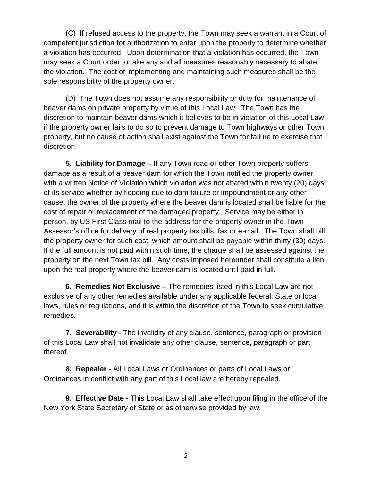(C) If refused access to the property, the Town may seek a warrant in a Court of competent jurisdiction for authorization to enter upon the property to determine whether a violation has occurred. Upon determination that a violation has occurred, the Town may seek a Court order to take any and all measures reasonably necessary to abate the violation. The cost of implementing and maintaining such measures shall be the sole responsibility of the property owner.

(D) The Town does not assume any responsibility or duty for maintenance of beaver dams on private property by virtue of this Local Law. The Town has the discretion to maintain beaver dams which it believes to be in violation of this Local Law if the property owner fails to do so to prevent damage to Town highways or other Town property, but no cause of action shall exist against the Town for failure to exercise that discretion.

**5. Liability for Damage –** If any Town road or other Town property suffers damage as a result of a beaver dam for which the Town notified the property owner with a written Notice of Violation which violation was not abated within twenty (20) days of its service whether by flooding due to dam failure or impoundment or any other cause, the owner of the property where the beaver dam is located shall be liable for the cost of repair or replacement of the damaged property. Service may be either in person, by US First Class mail to the address for the property owner in the Town Assessor's office for delivery of real property tax bills, fax or e-mail. The Town shall bill the property owner for such cost, which amount shall be payable within thirty (30) days. If the full amount is not paid within such time, the charge shall be assessed against the property on the next Town tax bill. Any costs imposed hereunder shall constitute a lien upon the real property where the beaver dam is located until paid in full.

**6. Remedies Not Exclusive –** The remedies listed in this Local Law are not exclusive of any other remedies available under any applicable federal, State or local laws, rules or regulations, and it is within the discretion of the Town to seek cumulative remedies.

**7. Severability -** The invalidity of any clause, sentence, paragraph or provision of this Local Law shall not invalidate any other clause, sentence, paragraph or part thereof.

**8. Repealer -** All Local Laws or Ordinances or parts of Local Laws or Ordinances in conflict with any part of this Local law are hereby repealed.

**9. Effective Date -** This Local Law shall take effect upon filing in the office of the New York State Secretary of State or as otherwise provided by law.

2